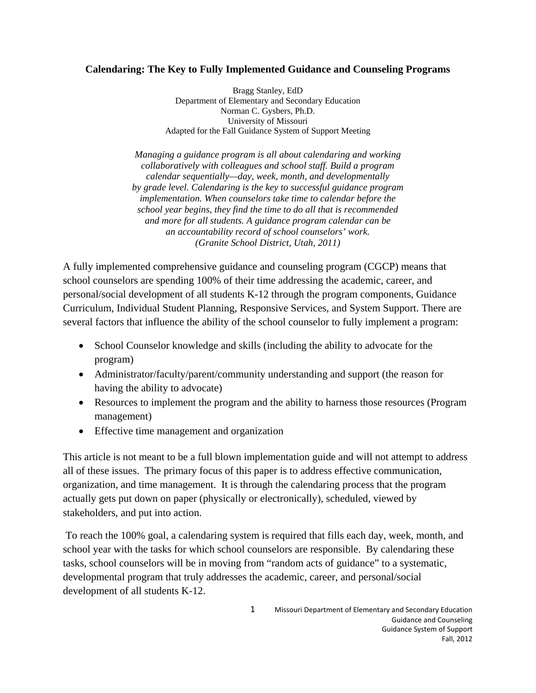## **Calendaring: The Key to Fully Implemented Guidance and Counseling Programs**

Bragg Stanley, EdD Department of Elementary and Secondary Education Norman C. Gysbers, Ph.D. University of Missouri Adapted for the Fall Guidance System of Support Meeting

*Managing a guidance program is all about calendaring and working collaboratively with colleagues and school staff. Build a program calendar sequentially—day, week, month, and developmentally by grade level. Calendaring is the key to successful guidance program implementation. When counselors take time to calendar before the school year begins, they find the time to do all that is recommended and more for all students. A guidance program calendar can be an accountability record of school counselors' work. (Granite School District, Utah, 2011)* 

A fully implemented comprehensive guidance and counseling program (CGCP) means that school counselors are spending 100% of their time addressing the academic, career, and personal/social development of all students K-12 through the program components, Guidance Curriculum, Individual Student Planning, Responsive Services, and System Support. There are several factors that influence the ability of the school counselor to fully implement a program:

- School Counselor knowledge and skills (including the ability to advocate for the program)
- Administrator/faculty/parent/community understanding and support (the reason for having the ability to advocate)
- Resources to implement the program and the ability to harness those resources (Program management)
- Effective time management and organization

This article is not meant to be a full blown implementation guide and will not attempt to address all of these issues. The primary focus of this paper is to address effective communication, organization, and time management. It is through the calendaring process that the program actually gets put down on paper (physically or electronically), scheduled, viewed by stakeholders, and put into action.

 To reach the 100% goal, a calendaring system is required that fills each day, week, month, and school year with the tasks for which school counselors are responsible. By calendaring these tasks, school counselors will be in moving from "random acts of guidance" to a systematic, developmental program that truly addresses the academic, career, and personal/social development of all students K-12.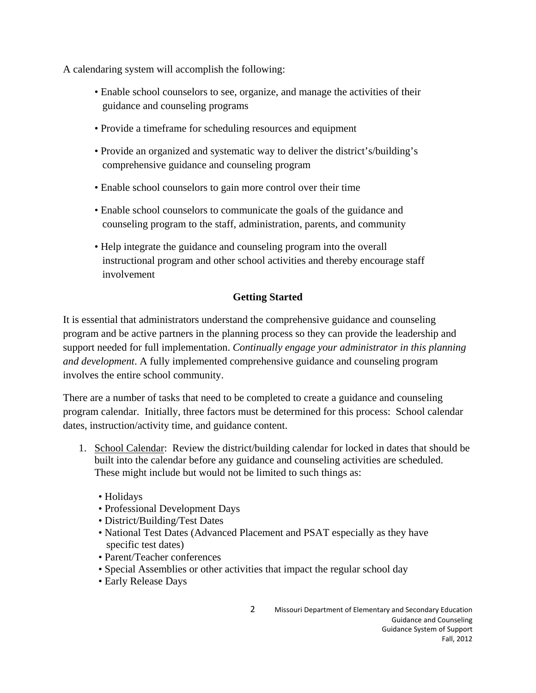A calendaring system will accomplish the following:

- Enable school counselors to see, organize, and manage the activities of their guidance and counseling programs
- Provide a timeframe for scheduling resources and equipment
- Provide an organized and systematic way to deliver the district's/building's comprehensive guidance and counseling program
- Enable school counselors to gain more control over their time
- Enable school counselors to communicate the goals of the guidance and counseling program to the staff, administration, parents, and community
- Help integrate the guidance and counseling program into the overall instructional program and other school activities and thereby encourage staff involvement

# **Getting Started**

It is essential that administrators understand the comprehensive guidance and counseling program and be active partners in the planning process so they can provide the leadership and support needed for full implementation. *Continually engage your administrator in this planning and development*. A fully implemented comprehensive guidance and counseling program involves the entire school community.

There are a number of tasks that need to be completed to create a guidance and counseling program calendar. Initially, three factors must be determined for this process: School calendar dates, instruction/activity time, and guidance content.

- 1. School Calendar: Review the district/building calendar for locked in dates that should be built into the calendar before any guidance and counseling activities are scheduled. These might include but would not be limited to such things as:
	- Holidays
	- Professional Development Days
	- District/Building/Test Dates
	- National Test Dates (Advanced Placement and PSAT especially as they have specific test dates)
	- Parent/Teacher conferences
	- Special Assemblies or other activities that impact the regular school day
	- Early Release Days

2 Missouri Department of Elementary and Secondary Education Guidance and Counseling Guidance System of Support Fall, 2012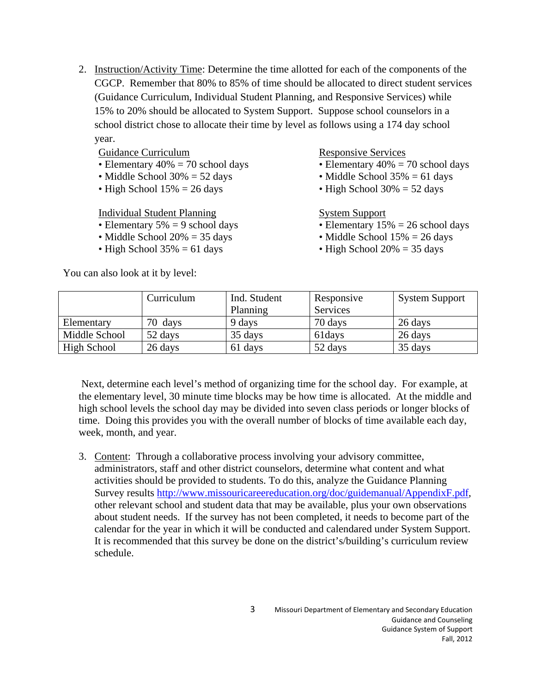2. Instruction/Activity Time: Determine the time allotted for each of the components of the CGCP. Remember that 80% to 85% of time should be allocated to direct student services (Guidance Curriculum, Individual Student Planning, and Responsive Services) while 15% to 20% should be allocated to System Support. Suppose school counselors in a school district chose to allocate their time by level as follows using a 174 day school year.

## Guidance Curriculum

- Elementary  $40\% = 70$  school days
- Middle School 30% = 52 days
- High School  $15\% = 26$  days

Individual Student Planning

- Elementary  $5\% = 9$  school days
- Middle School  $20\% = 35$  days
- High School  $35\% = 61$  days

You can also look at it by level:

#### Responsive Services

- Elementary  $40\% = 70$  school days
- Middle School  $35\% = 61$  days
- High School  $30\% = 52$  days

## System Support

- Elementary  $15\% = 26$  school days
- Middle School  $15% = 26$  days
- High School  $20\% = 35$  days

|               | Curriculum | Ind. Student<br>Planning | Responsive<br>Services | <b>System Support</b> |
|---------------|------------|--------------------------|------------------------|-----------------------|
| Elementary    | 70 days    | 9 days                   | 70 days                | 26 days               |
| Middle School | 52 days    | 35 days                  | 61 days                | 26 days               |
| High School   | 26 days    | 61 days                  | 52 days                | 35 days               |

 Next, determine each level's method of organizing time for the school day. For example, at the elementary level, 30 minute time blocks may be how time is allocated. At the middle and high school levels the school day may be divided into seven class periods or longer blocks of time. Doing this provides you with the overall number of blocks of time available each day, week, month, and year.

3. Content: Through a collaborative process involving your advisory committee, administrators, staff and other district counselors, determine what content and what activities should be provided to students. To do this, analyze the Guidance Planning Survey results http://www.missouricareereducation.org/doc/guidemanual/AppendixF.pdf, other relevant school and student data that may be available, plus your own observations about student needs. If the survey has not been completed, it needs to become part of the calendar for the year in which it will be conducted and calendared under System Support. It is recommended that this survey be done on the district's/building's curriculum review schedule.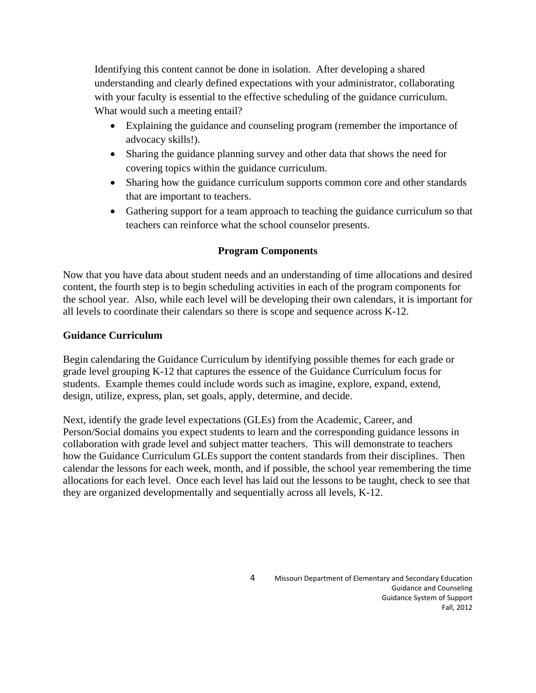Identifying this content cannot be done in isolation. After developing a shared understanding and clearly defined expectations with your administrator, collaborating with your faculty is essential to the effective scheduling of the guidance curriculum. What would such a meeting entail?

- Explaining the guidance and counseling program (remember the importance of advocacy skills!).
- Sharing the guidance planning survey and other data that shows the need for covering topics within the guidance curriculum.
- Sharing how the guidance curriculum supports common core and other standards that are important to teachers.
- Gathering support for a team approach to teaching the guidance curriculum so that teachers can reinforce what the school counselor presents.

# **Program Components**

Now that you have data about student needs and an understanding of time allocations and desired content, the fourth step is to begin scheduling activities in each of the program components for the school year. Also, while each level will be developing their own calendars, it is important for all levels to coordinate their calendars so there is scope and sequence across K-12.

## **Guidance Curriculum**

Begin calendaring the Guidance Curriculum by identifying possible themes for each grade or grade level grouping K-12 that captures the essence of the Guidance Curriculum focus for students. Example themes could include words such as imagine, explore, expand, extend, design, utilize, express, plan, set goals, apply, determine, and decide.

Next, identify the grade level expectations (GLEs) from the Academic, Career, and Person/Social domains you expect students to learn and the corresponding guidance lessons in collaboration with grade level and subject matter teachers. This will demonstrate to teachers how the Guidance Curriculum GLEs support the content standards from their disciplines. Then calendar the lessons for each week, month, and if possible, the school year remembering the time allocations for each level. Once each level has laid out the lessons to be taught, check to see that they are organized developmentally and sequentially across all levels, K-12.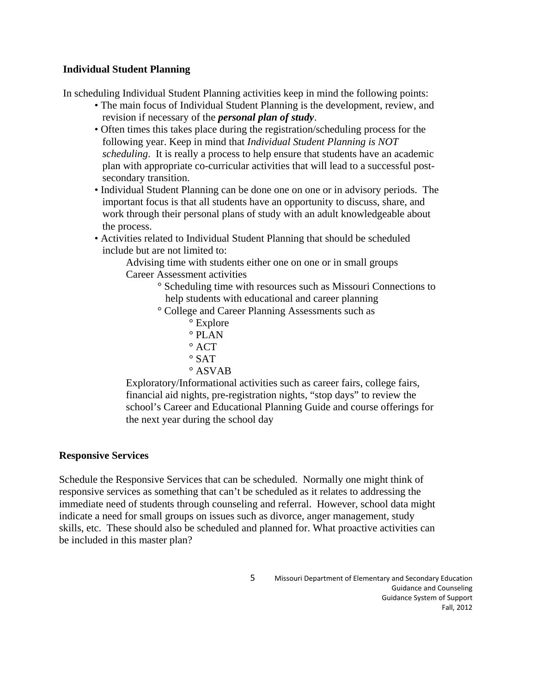## **Individual Student Planning**

In scheduling Individual Student Planning activities keep in mind the following points:

- The main focus of Individual Student Planning is the development, review, and revision if necessary of the *personal plan of study*.
- Often times this takes place during the registration/scheduling process for the following year. Keep in mind that *Individual Student Planning is NOT scheduling*. It is really a process to help ensure that students have an academic plan with appropriate co-curricular activities that will lead to a successful postsecondary transition.
- Individual Student Planning can be done one on one or in advisory periods. The important focus is that all students have an opportunity to discuss, share, and work through their personal plans of study with an adult knowledgeable about the process.
- Activities related to Individual Student Planning that should be scheduled include but are not limited to:

Advising time with students either one on one or in small groups Career Assessment activities

- ° Scheduling time with resources such as Missouri Connections to help students with educational and career planning
- ° College and Career Planning Assessments such as
	- ° Explore
	- $\circ$  PLAN
	- $\degree$  ACT
	- $\circ$  SAT
	- ° ASVAB

Exploratory/Informational activities such as career fairs, college fairs, financial aid nights, pre-registration nights, "stop days" to review the school's Career and Educational Planning Guide and course offerings for the next year during the school day

### **Responsive Services**

Schedule the Responsive Services that can be scheduled. Normally one might think of responsive services as something that can't be scheduled as it relates to addressing the immediate need of students through counseling and referral. However, school data might indicate a need for small groups on issues such as divorce, anger management, study skills, etc. These should also be scheduled and planned for. What proactive activities can be included in this master plan?